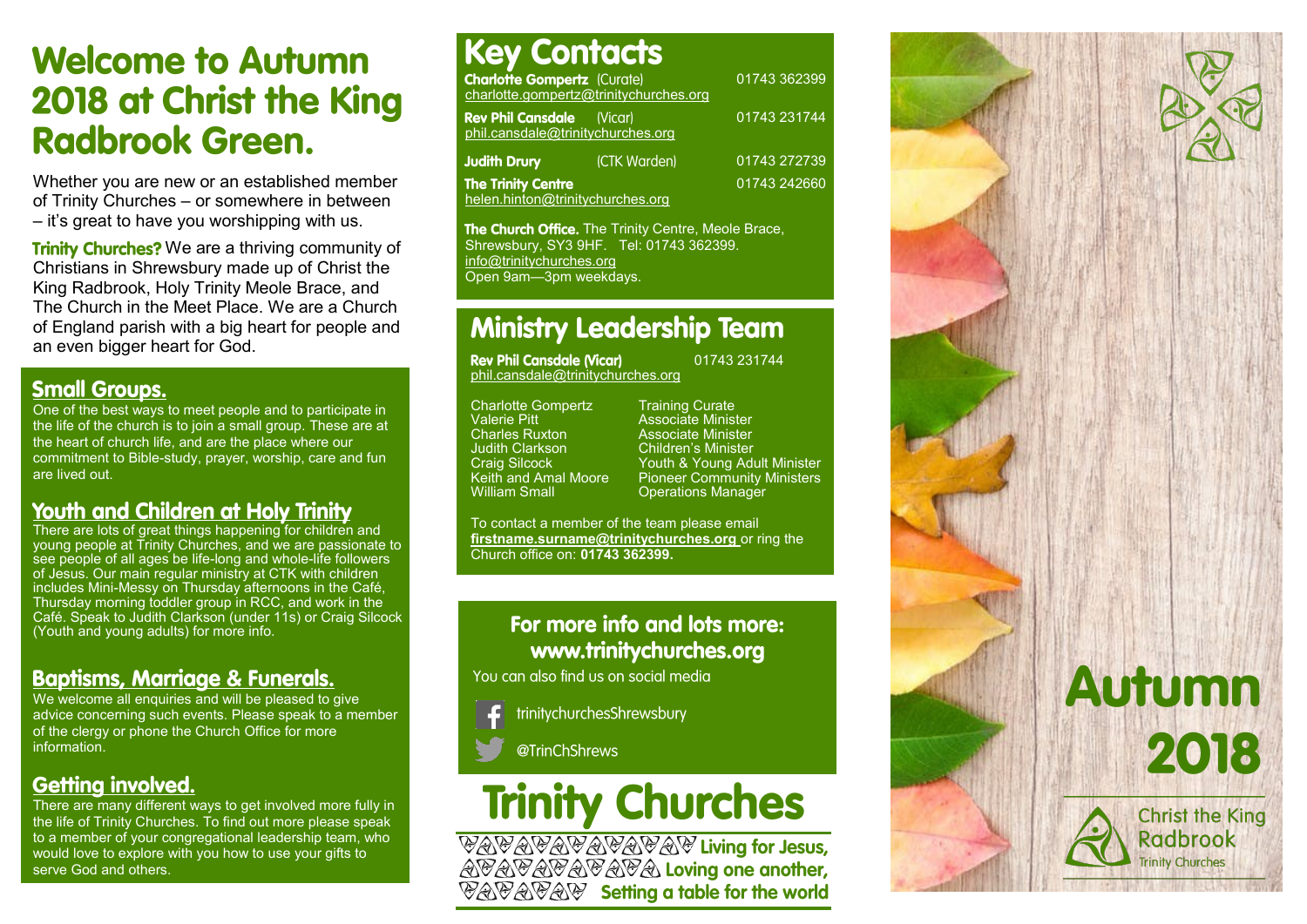## **Welcome to Autumn** 2018 at Christ the King **Radbrook Green.**

Whether you are new or an established member of Trinity Churches – or somewhere in between – it's great to have you worshipping with us.

**Trinity Churches?** We are a thriving community of Christians in Shrewsbury made up of Christ the King Radbrook, Holy Trinity Meole Brace, and The Church in the Meet Place. We are a Church of England parish with a big heart for people and an even bigger heart for God.

### **Small Groups.**

One of the best ways to meet people and to participate in the life of the church is to join a small group. These are at the heart of church life, and are the place where our commitment to Bible-study, prayer, worship, care and fun are lived out.

## **Youth and Children at Holy Trinity**

There are lots of great things happening for children and young people at Trinity Churches, and we are passionate to see people of all ages be life-long and whole-life followers of Jesus. Our main regular ministry at CTK with children includes Mini-Messy on Thursday afternoons in the Café, Thursday morning toddler group in RCC, and work in the Café. Speak to Judith Clarkson (under 11s) or Craig Silcock (Youth and young adults) for more info.

## **Baptisms, Marriage & Funerals.**

We welcome all enquiries and will be pleased to give advice concerning such events. Please speak to a member of the clergy or phone the Church Office for more information.

## **Getting involved.**

There are many different ways to get involved more fully in the life of Trinity Churches. To find out more please speak to a member of your congregational leadership team, who would love to explore with you how to use your gifts to serve God and others.

#### **Key Contacts Charlotte Gompertz** (Curate) 01743 362399 charlotte.gompertz@trinitychurches.org **Rev Phil Cansdale** 01743 231744 (Vicar) phil.cansdale@trinitychurches.org **Judith Drury** (CTK Warden) 01743 272739 **The Trinity Centre** 01743 242660 helen.hinton@trinitychurches.org

The Church Office. The Trinity Centre, Meole Brace, Shrewsbury, SY3 9HF. Tel: 01743 362399. info@trinitychurches.org Open 9am—3pm weekdays.

## **Ministry Leadership Team**

**Rev Phil Cansdale (Vicar)** phil.cansdale@trinitychurches.org

Charlotte Gompertz Training Curate<br>Valerie Pitt Charlot Associate Minist Valerie Pitt **Associate Minister**<br>Charles Ruxton **Associate Minister** Charles Ruxton **Associate Minister**<br> **Children's Minister**<br>
Children's Minister Judith Clarkson Children's Minister

Craig Silcock **Youth & Young Adult Minister Keith and Amal Moore** Pioneer Community Ministers Keith and Amal Moore Pioneer Community Ministers<br>William Small Conerations Manager **Operations Manager** 

01743 231744

To contact a member of the team please email **firstname.surname@trinitychurches.org** or ring the Church office on: **01743 362399.** 

## For more info and lots more: www.trinitychurches.org

You can also find us on social media

trinitychurchesShrewsbury

@TrinChShrews

# **Trinity Churches**

*<b>PAPAPAPAPAPAP Living for Jesus,*<br>APAPAPAPAPA Loving one another, **VAVAVAV** Setting a table for the world